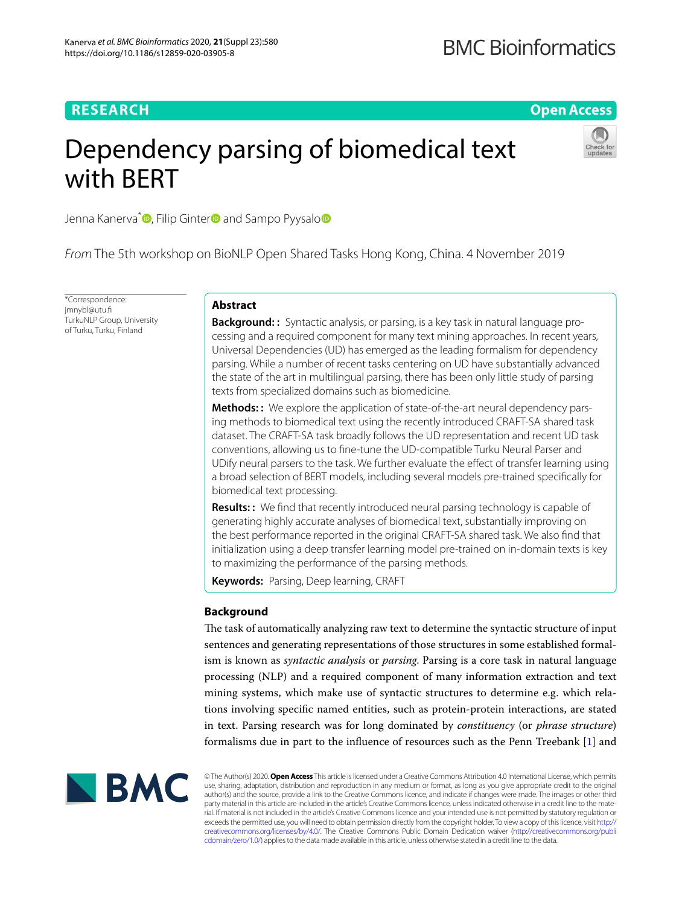# **RESEARCH**

**Open Access**

# Dependency parsing of biomedical text with BERT



Jenna Kanerva<sup>\*</sup> **D**[,](https://orcid.org/0000-0003-4580-5366) Filip Ginter **D** and Samp[o](http://orcid.org/0000-0002-6279-5000) Pyysalo **D** 

*From* The 5th workshop on BioNLP Open Shared Tasks Hong Kong, China. 4 November 2019

\*Correspondence: jmnybl@utu.f TurkuNLP Group, University of Turku, Turku, Finland

# **Abstract**

**Background: :** Syntactic analysis, or parsing, is a key task in natural language processing and a required component for many text mining approaches. In recent years, Universal Dependencies (UD) has emerged as the leading formalism for dependency parsing. While a number of recent tasks centering on UD have substantially advanced the state of the art in multilingual parsing, there has been only little study of parsing texts from specialized domains such as biomedicine.

**Methods: :** We explore the application of state-of-the-art neural dependency parsing methods to biomedical text using the recently introduced CRAFT-SA shared task dataset. The CRAFT-SA task broadly follows the UD representation and recent UD task conventions, allowing us to fne-tune the UD-compatible Turku Neural Parser and UDify neural parsers to the task. We further evaluate the efect of transfer learning using a broad selection of BERT models, including several models pre-trained specifcally for biomedical text processing.

**Results: :** We fnd that recently introduced neural parsing technology is capable of generating highly accurate analyses of biomedical text, substantially improving on the best performance reported in the original CRAFT-SA shared task. We also fnd that initialization using a deep transfer learning model pre-trained on in-domain texts is key to maximizing the performance of the parsing methods.

**Keywords:** Parsing, Deep learning, CRAFT

# **Background**

The task of automatically analyzing raw text to determine the syntactic structure of input sentences and generating representations of those structures in some established formalism is known as *syntactic analysis* or *parsing*. Parsing is a core task in natural language processing (NLP) and a required component of many information extraction and text mining systems, which make use of syntactic structures to determine e.g. which relations involving specifc named entities, such as protein-protein interactions, are stated in text. Parsing research was for long dominated by *constituency* (or *phrase structure*) formalisms due in part to the infuence of resources such as the Penn Treebank [\[1](#page-9-0)] and



© The Author(s) 2020. **Open Access** This article is licensed under a Creative Commons Attribution 4.0 International License, which permits use, sharing, adaptation, distribution and reproduction in any medium or format, as long as you give appropriate credit to the original author(s) and the source, provide a link to the Creative Commons licence, and indicate if changes were made. The images or other third party material in this article are included in the article's Creative Commons licence, unless indicated otherwise in a credit line to the material. If material is not included in the article's Creative Commons licence and your intended use is not permitted by statutory regulation or exceeds the permitted use, you will need to obtain permission directly from the copyright holder. To view a copy of this licence, visit [http://](http://creativecommons.org/licenses/by/4.0/) [creativecommons.org/licenses/by/4.0/.](http://creativecommons.org/licenses/by/4.0/) The Creative Commons Public Domain Dedication waiver [\(http://creativecommons.org/publi](http://creativecommons.org/publicdomain/zero/1.0/) [cdomain/zero/1.0/\)](http://creativecommons.org/publicdomain/zero/1.0/) applies to the data made available in this article, unless otherwise stated in a credit line to the data.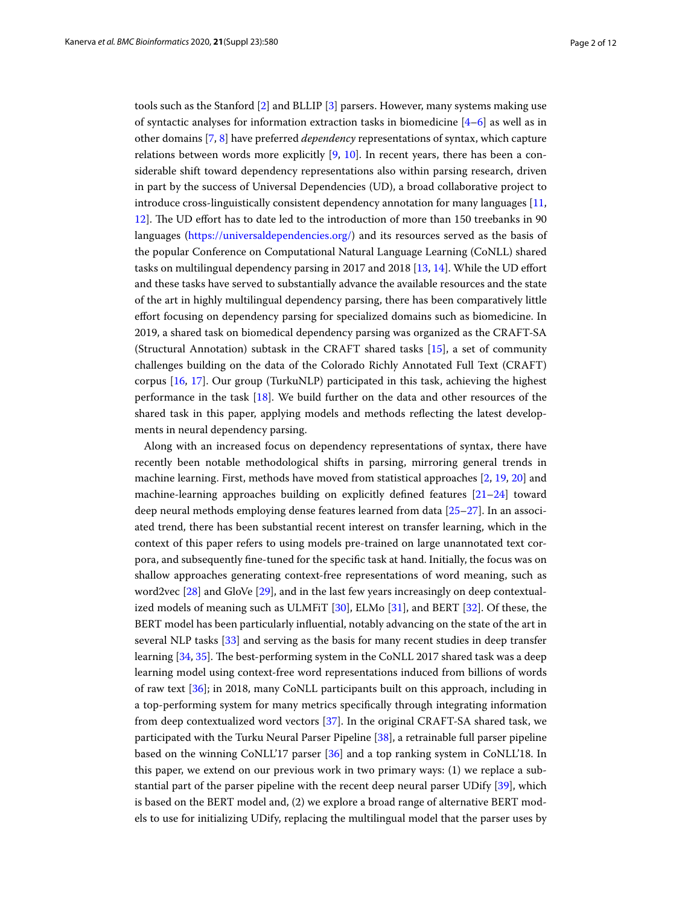tools such as the Stanford [[2\]](#page-9-1) and BLLIP [\[3\]](#page-9-2) parsers. However, many systems making use of syntactic analyses for information extraction tasks in biomedicine  $[4-6]$  $[4-6]$  $[4-6]$  as well as in other domains [\[7](#page-9-5), [8\]](#page-9-6) have preferred *dependency* representations of syntax, which capture relations between words more explicitly  $[9, 10]$  $[9, 10]$  $[9, 10]$  $[9, 10]$ . In recent years, there has been a considerable shift toward dependency representations also within parsing research, driven in part by the success of Universal Dependencies (UD), a broad collaborative project to introduce cross-linguistically consistent dependency annotation for many languages [[11](#page-9-9), [12](#page-9-10)]. The UD effort has to date led to the introduction of more than 150 treebanks in 90 languages [\(https://universaldependencies.org/](https://universaldependencies.org/)) and its resources served as the basis of the popular Conference on Computational Natural Language Learning (CoNLL) shared tasks on multilingual dependency parsing in 2017 and 2018 [\[13,](#page-9-11) [14](#page-9-12)]. While the UD efort and these tasks have served to substantially advance the available resources and the state of the art in highly multilingual dependency parsing, there has been comparatively little efort focusing on dependency parsing for specialized domains such as biomedicine. In 2019, a shared task on biomedical dependency parsing was organized as the CRAFT-SA (Structural Annotation) subtask in the CRAFT shared tasks [[15](#page-9-13)], a set of community challenges building on the data of the Colorado Richly Annotated Full Text (CRAFT) corpus [[16,](#page-9-14) [17\]](#page-10-0). Our group (TurkuNLP) participated in this task, achieving the highest performance in the task [\[18](#page-10-1)]. We build further on the data and other resources of the shared task in this paper, applying models and methods refecting the latest developments in neural dependency parsing.

Along with an increased focus on dependency representations of syntax, there have recently been notable methodological shifts in parsing, mirroring general trends in machine learning. First, methods have moved from statistical approaches [[2,](#page-9-1) [19](#page-10-2), [20\]](#page-10-3) and machine-learning approaches building on explicitly defned features [\[21](#page-10-4)[–24](#page-10-5)] toward deep neural methods employing dense features learned from data [\[25–](#page-10-6)[27\]](#page-10-7). In an associated trend, there has been substantial recent interest on transfer learning, which in the context of this paper refers to using models pre-trained on large unannotated text corpora, and subsequently fne-tuned for the specifc task at hand. Initially, the focus was on shallow approaches generating context-free representations of word meaning, such as word2vec [[28\]](#page-10-8) and GloVe [\[29](#page-10-9)], and in the last few years increasingly on deep contextualized models of meaning such as ULMFiT [[30\]](#page-10-10), ELMo [[31\]](#page-10-11), and BERT [\[32](#page-10-12)]. Of these, the BERT model has been particularly infuential, notably advancing on the state of the art in several NLP tasks [[33](#page-10-13)] and serving as the basis for many recent studies in deep transfer learning [[34,](#page-10-14) [35\]](#page-10-15). The best-performing system in the CoNLL 2017 shared task was a deep learning model using context-free word representations induced from billions of words of raw text [[36\]](#page-10-16); in 2018, many CoNLL participants built on this approach, including in a top-performing system for many metrics specifcally through integrating information from deep contextualized word vectors [[37\]](#page-10-17). In the original CRAFT-SA shared task, we participated with the Turku Neural Parser Pipeline [[38\]](#page-10-18), a retrainable full parser pipeline based on the winning CoNLL'17 parser [[36\]](#page-10-16) and a top ranking system in CoNLL'18. In this paper, we extend on our previous work in two primary ways: (1) we replace a substantial part of the parser pipeline with the recent deep neural parser UDify [[39\]](#page-10-19), which is based on the BERT model and, (2) we explore a broad range of alternative BERT models to use for initializing UDify, replacing the multilingual model that the parser uses by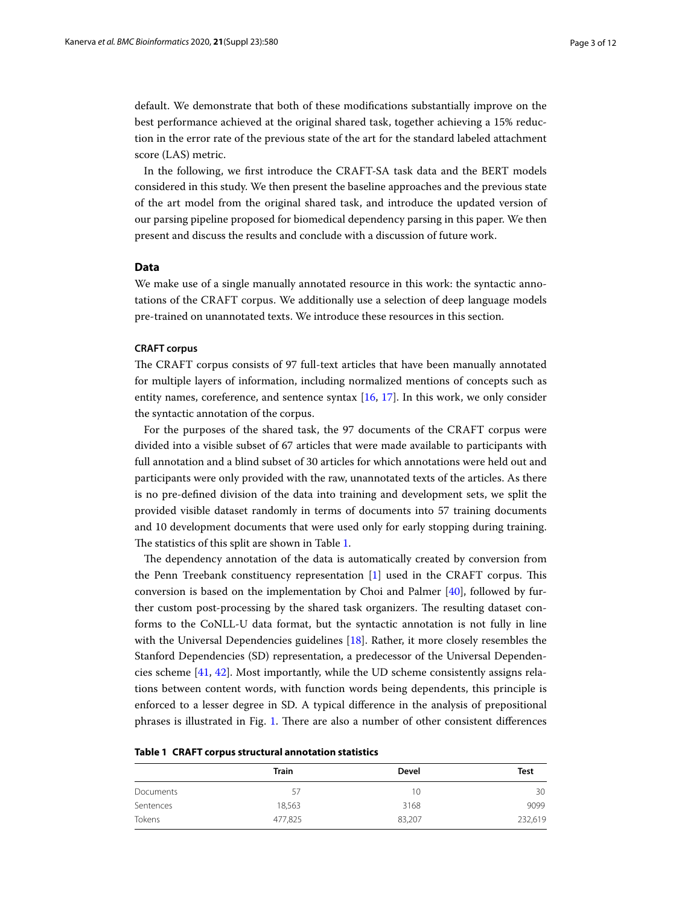default. We demonstrate that both of these modifcations substantially improve on the best performance achieved at the original shared task, together achieving a 15% reduction in the error rate of the previous state of the art for the standard labeled attachment score (LAS) metric.

In the following, we frst introduce the CRAFT-SA task data and the BERT models considered in this study. We then present the baseline approaches and the previous state of the art model from the original shared task, and introduce the updated version of our parsing pipeline proposed for biomedical dependency parsing in this paper. We then present and discuss the results and conclude with a discussion of future work.

# **Data**

We make use of a single manually annotated resource in this work: the syntactic annotations of the CRAFT corpus. We additionally use a selection of deep language models pre-trained on unannotated texts. We introduce these resources in this section.

# **CRAFT corpus**

The CRAFT corpus consists of 97 full-text articles that have been manually annotated for multiple layers of information, including normalized mentions of concepts such as entity names, coreference, and sentence syntax [\[16](#page-9-14), [17](#page-10-0)]. In this work, we only consider the syntactic annotation of the corpus.

For the purposes of the shared task, the 97 documents of the CRAFT corpus were divided into a visible subset of 67 articles that were made available to participants with full annotation and a blind subset of 30 articles for which annotations were held out and participants were only provided with the raw, unannotated texts of the articles. As there is no pre-defned division of the data into training and development sets, we split the provided visible dataset randomly in terms of documents into 57 training documents and 10 development documents that were used only for early stopping during training. The statistics of this split are shown in Table [1](#page-2-0).

The dependency annotation of the data is automatically created by conversion from the Penn Treebank constituency representation [\[1](#page-9-0)] used in the CRAFT corpus. Tis conversion is based on the implementation by Choi and Palmer [\[40\]](#page-10-20), followed by further custom post-processing by the shared task organizers. The resulting dataset conforms to the CoNLL-U data format, but the syntactic annotation is not fully in line with the Universal Dependencies guidelines [[18\]](#page-10-1). Rather, it more closely resembles the Stanford Dependencies (SD) representation, a predecessor of the Universal Dependencies scheme [[41,](#page-10-21) [42\]](#page-10-22). Most importantly, while the UD scheme consistently assigns relations between content words, with function words being dependents, this principle is enforced to a lesser degree in SD. A typical diference in the analysis of prepositional phrases is illustrated in Fig. [1.](#page-3-0) There are also a number of other consistent differences

<span id="page-2-0"></span>

|  |  | Table 1 CRAFT corpus structural annotation statistics |  |  |
|--|--|-------------------------------------------------------|--|--|
|--|--|-------------------------------------------------------|--|--|

|           | <b>Train</b> | <b>Devel</b> | <b>Test</b> |  |
|-----------|--------------|--------------|-------------|--|
| Documents | 57           | 10           | 30          |  |
| Sentences | 18,563       | 3168         | 9099        |  |
| Tokens    | 477,825      | 83,207       | 232,619     |  |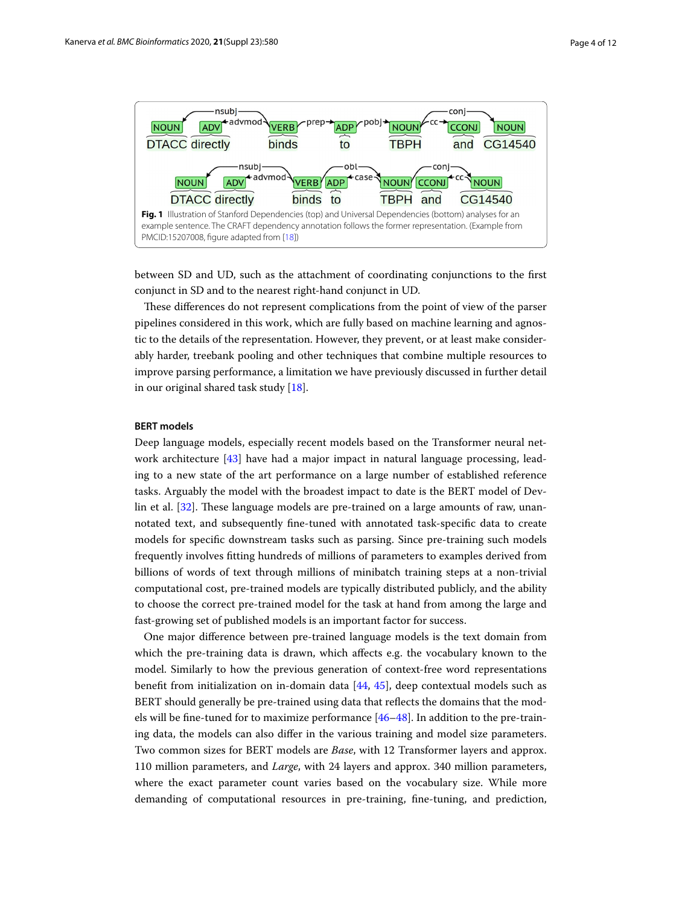

<span id="page-3-0"></span>between SD and UD, such as the attachment of coordinating conjunctions to the frst conjunct in SD and to the nearest right-hand conjunct in UD.

These differences do not represent complications from the point of view of the parser pipelines considered in this work, which are fully based on machine learning and agnostic to the details of the representation. However, they prevent, or at least make considerably harder, treebank pooling and other techniques that combine multiple resources to improve parsing performance, a limitation we have previously discussed in further detail in our original shared task study [\[18](#page-10-1)].

# **BERT models**

Deep language models, especially recent models based on the Transformer neural network architecture [\[43](#page-10-23)] have had a major impact in natural language processing, leading to a new state of the art performance on a large number of established reference tasks. Arguably the model with the broadest impact to date is the BERT model of Dev-lin et al. [[32](#page-10-12)]. These language models are pre-trained on a large amounts of raw, unannotated text, and subsequently fne-tuned with annotated task-specifc data to create models for specifc downstream tasks such as parsing. Since pre-training such models frequently involves ftting hundreds of millions of parameters to examples derived from billions of words of text through millions of minibatch training steps at a non-trivial computational cost, pre-trained models are typically distributed publicly, and the ability to choose the correct pre-trained model for the task at hand from among the large and fast-growing set of published models is an important factor for success.

One major diference between pre-trained language models is the text domain from which the pre-training data is drawn, which afects e.g. the vocabulary known to the model. Similarly to how the previous generation of context-free word representations beneft from initialization on in-domain data [\[44](#page-10-24), [45\]](#page-10-25), deep contextual models such as BERT should generally be pre-trained using data that refects the domains that the models will be fne-tuned for to maximize performance [\[46](#page-10-26)[–48\]](#page-11-0). In addition to the pre-training data, the models can also difer in the various training and model size parameters. Two common sizes for BERT models are *Base*, with 12 Transformer layers and approx. 110 million parameters, and *Large*, with 24 layers and approx. 340 million parameters, where the exact parameter count varies based on the vocabulary size. While more demanding of computational resources in pre-training, fne-tuning, and prediction,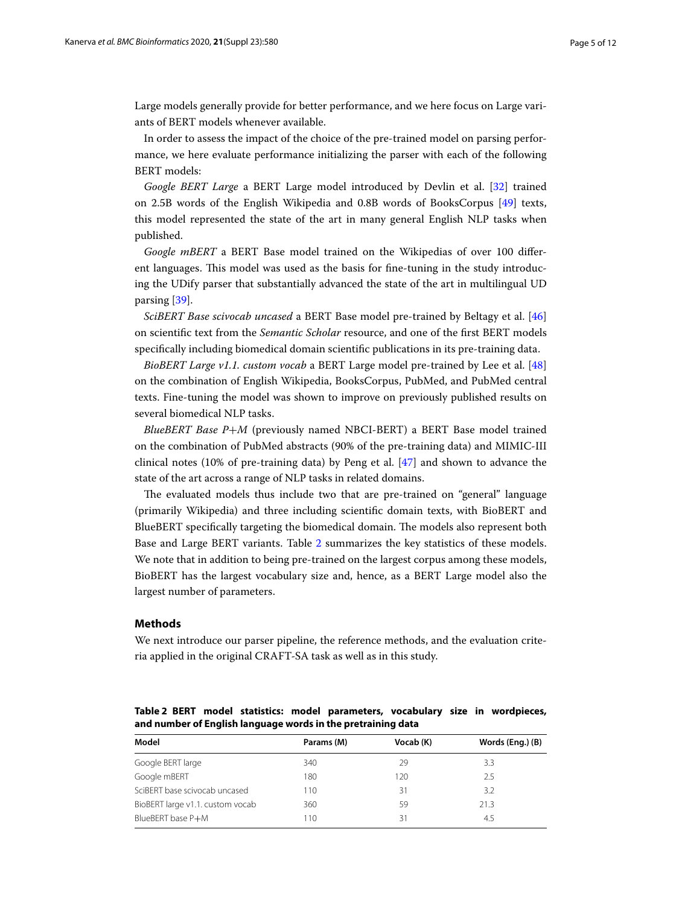Large models generally provide for better performance, and we here focus on Large variants of BERT models whenever available.

In order to assess the impact of the choice of the pre-trained model on parsing performance, we here evaluate performance initializing the parser with each of the following BERT models:

*Google BERT Large* a BERT Large model introduced by Devlin et al. [[32\]](#page-10-12) trained on 2.5B words of the English Wikipedia and 0.8B words of BooksCorpus [[49](#page-11-1)] texts, this model represented the state of the art in many general English NLP tasks when published.

*Google mBERT* a BERT Base model trained on the Wikipedias of over 100 diferent languages. This model was used as the basis for fine-tuning in the study introducing the UDify parser that substantially advanced the state of the art in multilingual UD parsing [\[39](#page-10-19)].

*SciBERT Base scivocab uncased* a BERT Base model pre-trained by Beltagy et al. [[46](#page-10-26)] on scientifc text from the *Semantic Scholar* resource, and one of the frst BERT models specifcally including biomedical domain scientifc publications in its pre-training data.

*BioBERT Large v1.1. custom vocab* a BERT Large model pre-trained by Lee et al. [[48](#page-11-0)] on the combination of English Wikipedia, BooksCorpus, PubMed, and PubMed central texts. Fine-tuning the model was shown to improve on previously published results on several biomedical NLP tasks.

*BlueBERT Base P*+*M* (previously named NBCI-BERT) a BERT Base model trained on the combination of PubMed abstracts (90% of the pre-training data) and MIMIC-III clinical notes (10% of pre-training data) by Peng et al. [\[47\]](#page-11-2) and shown to advance the state of the art across a range of NLP tasks in related domains.

The evaluated models thus include two that are pre-trained on "general" language (primarily Wikipedia) and three including scientifc domain texts, with BioBERT and BlueBERT specifically targeting the biomedical domain. The models also represent both Base and Large BERT variants. Table [2](#page-4-0) summarizes the key statistics of these models. We note that in addition to being pre-trained on the largest corpus among these models, BioBERT has the largest vocabulary size and, hence, as a BERT Large model also the largest number of parameters.

#### **Methods**

We next introduce our parser pipeline, the reference methods, and the evaluation criteria applied in the original CRAFT-SA task as well as in this study.

<span id="page-4-0"></span>**Table 2 BERT model statistics: model parameters, vocabulary size in wordpieces, and number of English language words in the pretraining data**

| Model                            | Params (M) | Vocab (K) | Words (Eng.) (B) |
|----------------------------------|------------|-----------|------------------|
| Google BERT large                | 340        | 29        | 33               |
| Google mBERT                     | 180        | 120       | 2.5              |
| SciBERT base scivocab uncased    | 110        | 31        | 3.2              |
| BioBERT large v1.1. custom vocab | 360        | 59        | 21.3             |
| BlueBERT base P+M                | 110        | 31        | 4.5              |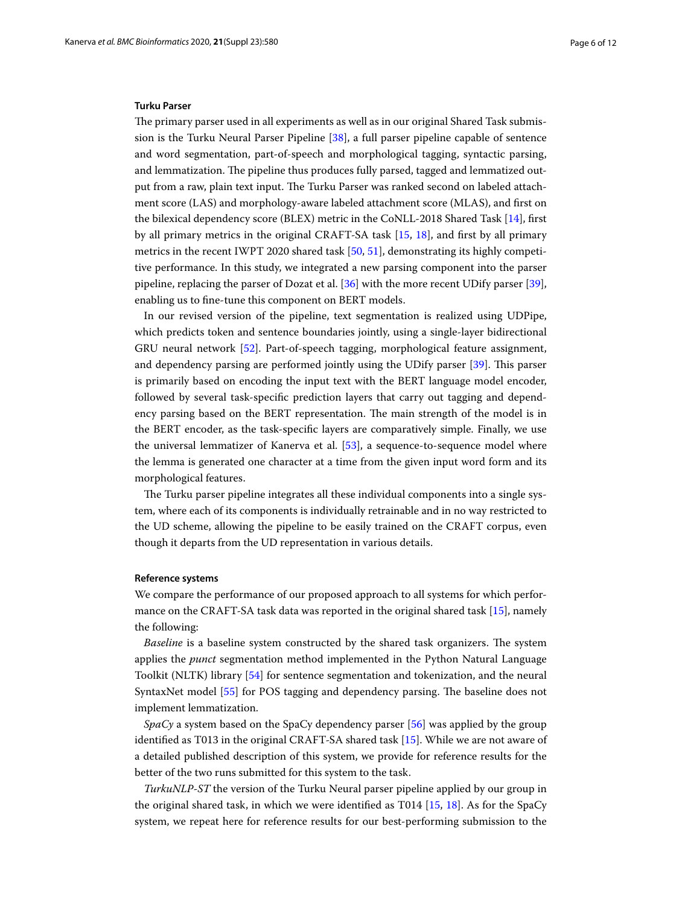#### **Turku Parser**

The primary parser used in all experiments as well as in our original Shared Task submission is the Turku Neural Parser Pipeline [\[38](#page-10-18)], a full parser pipeline capable of sentence and word segmentation, part-of-speech and morphological tagging, syntactic parsing, and lemmatization. The pipeline thus produces fully parsed, tagged and lemmatized output from a raw, plain text input. The Turku Parser was ranked second on labeled attachment score (LAS) and morphology-aware labeled attachment score (MLAS), and frst on the bilexical dependency score (BLEX) metric in the CoNLL-2018 Shared Task [[14\]](#page-9-12), frst by all primary metrics in the original CRAFT-SA task [\[15,](#page-9-13) [18](#page-10-1)], and frst by all primary metrics in the recent IWPT 2020 shared task [[50](#page-11-3), [51\]](#page-11-4), demonstrating its highly competitive performance. In this study, we integrated a new parsing component into the parser pipeline, replacing the parser of Dozat et al. [[36\]](#page-10-16) with the more recent UDify parser [\[39](#page-10-19)], enabling us to fne-tune this component on BERT models.

In our revised version of the pipeline, text segmentation is realized using UDPipe, which predicts token and sentence boundaries jointly, using a single-layer bidirectional GRU neural network [[52\]](#page-11-5). Part-of-speech tagging, morphological feature assignment, and dependency parsing are performed jointly using the UDify parser [\[39](#page-10-19)]. This parser is primarily based on encoding the input text with the BERT language model encoder, followed by several task-specifc prediction layers that carry out tagging and dependency parsing based on the BERT representation. The main strength of the model is in the BERT encoder, as the task-specifc layers are comparatively simple. Finally, we use the universal lemmatizer of Kanerva et al. [[53\]](#page-11-6), a sequence-to-sequence model where the lemma is generated one character at a time from the given input word form and its morphological features.

The Turku parser pipeline integrates all these individual components into a single system, where each of its components is individually retrainable and in no way restricted to the UD scheme, allowing the pipeline to be easily trained on the CRAFT corpus, even though it departs from the UD representation in various details.

#### **Reference systems**

We compare the performance of our proposed approach to all systems for which performance on the CRAFT-SA task data was reported in the original shared task [\[15](#page-9-13)], namely the following:

*Baseline* is a baseline system constructed by the shared task organizers. The system applies the *punct* segmentation method implemented in the Python Natural Language Toolkit (NLTK) library [\[54](#page-11-7)] for sentence segmentation and tokenization, and the neural SyntaxNet model [\[55](#page-11-8)] for POS tagging and dependency parsing. The baseline does not implement lemmatization.

*SpaCy* a system based on the SpaCy dependency parser [\[56\]](#page-11-9) was applied by the group identifed as T013 in the original CRAFT-SA shared task [[15](#page-9-13)]. While we are not aware of a detailed published description of this system, we provide for reference results for the better of the two runs submitted for this system to the task.

*TurkuNLP-ST* the version of the Turku Neural parser pipeline applied by our group in the original shared task, in which we were identifed as T014 [[15,](#page-9-13) [18](#page-10-1)]. As for the SpaCy system, we repeat here for reference results for our best-performing submission to the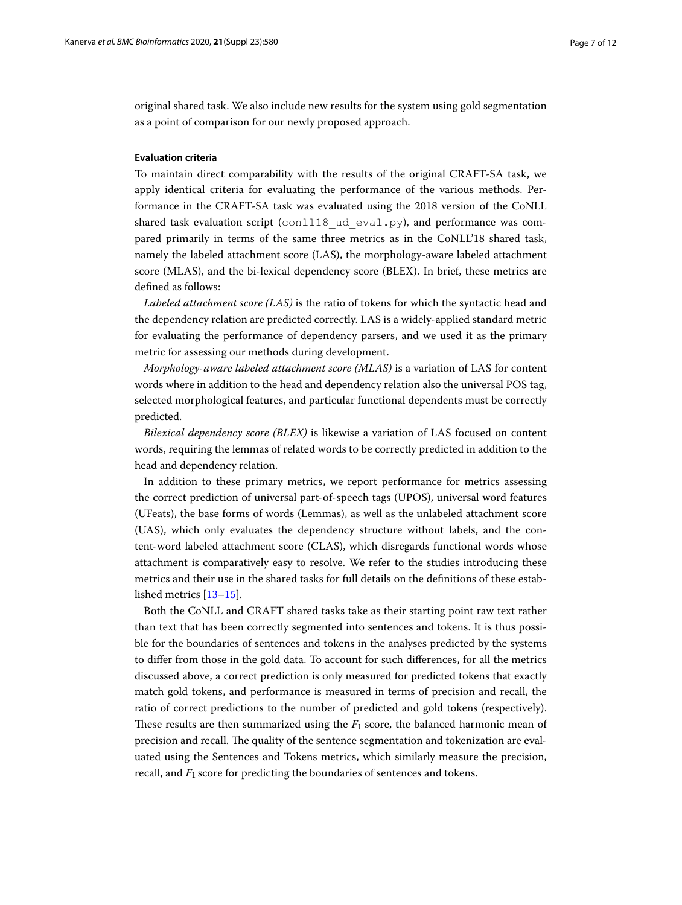original shared task. We also include new results for the system using gold segmentation as a point of comparison for our newly proposed approach.

# **Evaluation criteria**

To maintain direct comparability with the results of the original CRAFT-SA task, we apply identical criteria for evaluating the performance of the various methods. Performance in the CRAFT-SA task was evaluated using the 2018 version of the CoNLL shared task evaluation script (conll18 ud eval.py), and performance was compared primarily in terms of the same three metrics as in the CoNLL'18 shared task, namely the labeled attachment score (LAS), the morphology-aware labeled attachment score (MLAS), and the bi-lexical dependency score (BLEX). In brief, these metrics are defned as follows:

*Labeled attachment score (LAS)* is the ratio of tokens for which the syntactic head and the dependency relation are predicted correctly. LAS is a widely-applied standard metric for evaluating the performance of dependency parsers, and we used it as the primary metric for assessing our methods during development.

*Morphology-aware labeled attachment score (MLAS)* is a variation of LAS for content words where in addition to the head and dependency relation also the universal POS tag, selected morphological features, and particular functional dependents must be correctly predicted.

*Bilexical dependency score (BLEX)* is likewise a variation of LAS focused on content words, requiring the lemmas of related words to be correctly predicted in addition to the head and dependency relation.

In addition to these primary metrics, we report performance for metrics assessing the correct prediction of universal part-of-speech tags (UPOS), universal word features (UFeats), the base forms of words (Lemmas), as well as the unlabeled attachment score (UAS), which only evaluates the dependency structure without labels, and the content-word labeled attachment score (CLAS), which disregards functional words whose attachment is comparatively easy to resolve. We refer to the studies introducing these metrics and their use in the shared tasks for full details on the defnitions of these established metrics [\[13](#page-9-11)[–15](#page-9-13)].

Both the CoNLL and CRAFT shared tasks take as their starting point raw text rather than text that has been correctly segmented into sentences and tokens. It is thus possible for the boundaries of sentences and tokens in the analyses predicted by the systems to difer from those in the gold data. To account for such diferences, for all the metrics discussed above, a correct prediction is only measured for predicted tokens that exactly match gold tokens, and performance is measured in terms of precision and recall, the ratio of correct predictions to the number of predicted and gold tokens (respectively). These results are then summarized using the  $F_1$  score, the balanced harmonic mean of precision and recall. The quality of the sentence segmentation and tokenization are evaluated using the Sentences and Tokens metrics, which similarly measure the precision, recall, and  $F_1$  score for predicting the boundaries of sentences and tokens.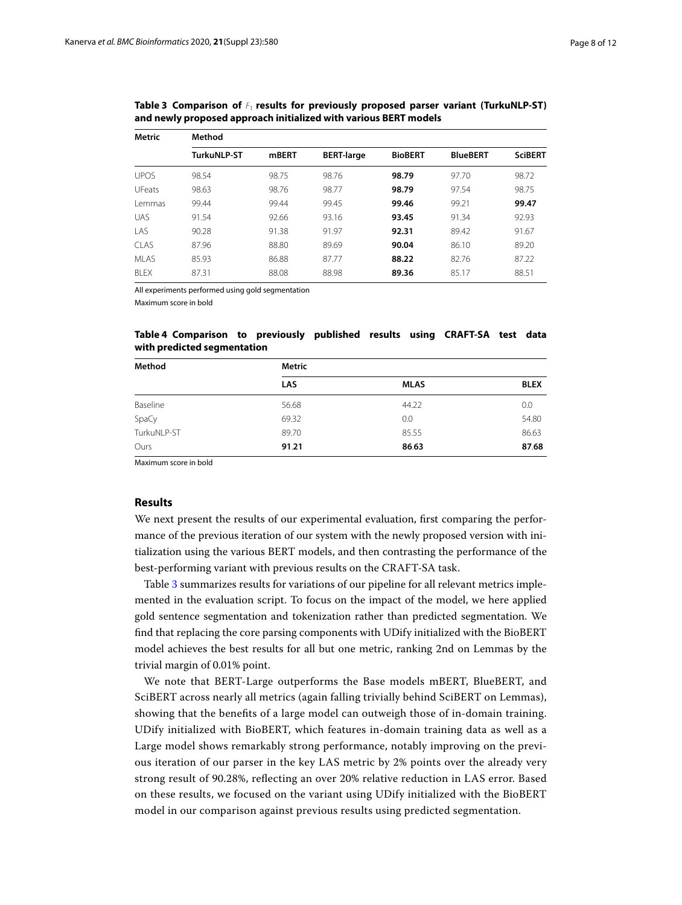| <b>Metric</b> | Method      |       |                   |                |                 |                |
|---------------|-------------|-------|-------------------|----------------|-----------------|----------------|
|               | TurkuNLP-ST | mBERT | <b>BERT-large</b> | <b>BioBERT</b> | <b>BlueBERT</b> | <b>SciBERT</b> |
| <b>UPOS</b>   | 98.54       | 98.75 | 98.76             | 98.79          | 97.70           | 98.72          |
| <b>UFeats</b> | 98.63       | 98.76 | 98.77             | 98.79          | 97.54           | 98.75          |
| I emmas       | 99.44       | 99.44 | 99.45             | 99.46          | 99.21           | 99.47          |
| <b>UAS</b>    | 91.54       | 92.66 | 93.16             | 93.45          | 91.34           | 92.93          |
| LAS           | 90.28       | 91.38 | 91.97             | 92.31          | 89.42           | 91.67          |
| <b>CLAS</b>   | 87.96       | 88.80 | 89.69             | 90.04          | 86.10           | 89.20          |
| <b>MLAS</b>   | 85.93       | 86.88 | 87.77             | 88.22          | 82.76           | 87.22          |
| <b>BLEX</b>   | 87.31       | 88.08 | 88.98             | 89.36          | 85.17           | 88.51          |

<span id="page-7-0"></span>Table 3 Comparison of  $F_1$  results for previously proposed parser variant (TurkuNLP-ST) **and newly proposed approach initialized with various BERT models**

All experiments performed using gold segmentation

Maximum score in bold

# <span id="page-7-1"></span>**Table 4 Comparison to previously published results using CRAFT-SA test data with predicted segmentation**

| Method      | <b>Metric</b> |             |             |  |
|-------------|---------------|-------------|-------------|--|
|             | LAS           | <b>MLAS</b> | <b>BLEX</b> |  |
| Baseline    | 56.68         | 44.22       | 0.0         |  |
| SpaCy       | 69.32         | 0.0         | 54.80       |  |
| TurkuNLP-ST | 89.70         | 85.55       | 86.63       |  |
| Ours        | 91.21         | 86.63       | 87.68       |  |

Maximum score in bold

#### **Results**

We next present the results of our experimental evaluation, frst comparing the performance of the previous iteration of our system with the newly proposed version with initialization using the various BERT models, and then contrasting the performance of the best-performing variant with previous results on the CRAFT-SA task.

Table [3](#page-7-0) summarizes results for variations of our pipeline for all relevant metrics implemented in the evaluation script. To focus on the impact of the model, we here applied gold sentence segmentation and tokenization rather than predicted segmentation. We fnd that replacing the core parsing components with UDify initialized with the BioBERT model achieves the best results for all but one metric, ranking 2nd on Lemmas by the trivial margin of 0.01% point.

We note that BERT-Large outperforms the Base models mBERT, BlueBERT, and SciBERT across nearly all metrics (again falling trivially behind SciBERT on Lemmas), showing that the benefts of a large model can outweigh those of in-domain training. UDify initialized with BioBERT, which features in-domain training data as well as a Large model shows remarkably strong performance, notably improving on the previous iteration of our parser in the key LAS metric by 2% points over the already very strong result of 90.28%, refecting an over 20% relative reduction in LAS error. Based on these results, we focused on the variant using UDify initialized with the BioBERT model in our comparison against previous results using predicted segmentation.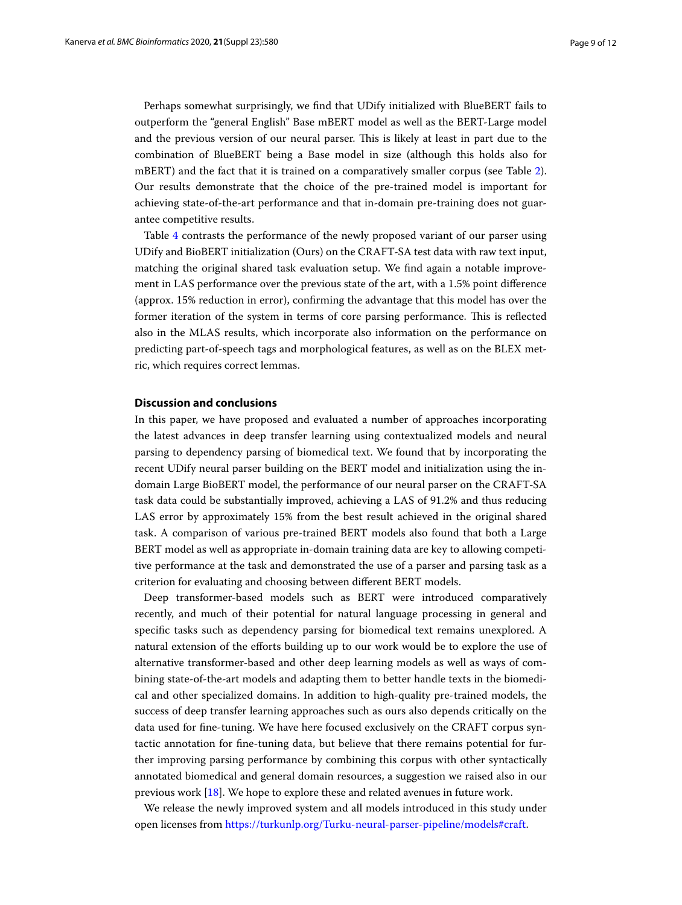Perhaps somewhat surprisingly, we fnd that UDify initialized with BlueBERT fails to outperform the "general English" Base mBERT model as well as the BERT-Large model and the previous version of our neural parser. This is likely at least in part due to the combination of BlueBERT being a Base model in size (although this holds also for mBERT) and the fact that it is trained on a comparatively smaller corpus (see Table [2](#page-4-0)). Our results demonstrate that the choice of the pre-trained model is important for achieving state-of-the-art performance and that in-domain pre-training does not guarantee competitive results.

Table [4](#page-7-1) contrasts the performance of the newly proposed variant of our parser using UDify and BioBERT initialization (Ours) on the CRAFT-SA test data with raw text input, matching the original shared task evaluation setup. We fnd again a notable improvement in LAS performance over the previous state of the art, with a 1.5% point diference (approx. 15% reduction in error), confrming the advantage that this model has over the former iteration of the system in terms of core parsing performance. This is reflected also in the MLAS results, which incorporate also information on the performance on predicting part-of-speech tags and morphological features, as well as on the BLEX metric, which requires correct lemmas.

#### **Discussion and conclusions**

In this paper, we have proposed and evaluated a number of approaches incorporating the latest advances in deep transfer learning using contextualized models and neural parsing to dependency parsing of biomedical text. We found that by incorporating the recent UDify neural parser building on the BERT model and initialization using the indomain Large BioBERT model, the performance of our neural parser on the CRAFT-SA task data could be substantially improved, achieving a LAS of 91.2% and thus reducing LAS error by approximately 15% from the best result achieved in the original shared task. A comparison of various pre-trained BERT models also found that both a Large BERT model as well as appropriate in-domain training data are key to allowing competitive performance at the task and demonstrated the use of a parser and parsing task as a criterion for evaluating and choosing between diferent BERT models.

Deep transformer-based models such as BERT were introduced comparatively recently, and much of their potential for natural language processing in general and specifc tasks such as dependency parsing for biomedical text remains unexplored. A natural extension of the eforts building up to our work would be to explore the use of alternative transformer-based and other deep learning models as well as ways of combining state-of-the-art models and adapting them to better handle texts in the biomedical and other specialized domains. In addition to high-quality pre-trained models, the success of deep transfer learning approaches such as ours also depends critically on the data used for fne-tuning. We have here focused exclusively on the CRAFT corpus syntactic annotation for fne-tuning data, but believe that there remains potential for further improving parsing performance by combining this corpus with other syntactically annotated biomedical and general domain resources, a suggestion we raised also in our previous work [\[18](#page-10-1)]. We hope to explore these and related avenues in future work.

We release the newly improved system and all models introduced in this study under open licenses from [https://turkunlp.org/Turku-neural-parser-pipeline/models#craft.](https://turkunlp.org/Turku-neural-parser-pipeline/models#craft)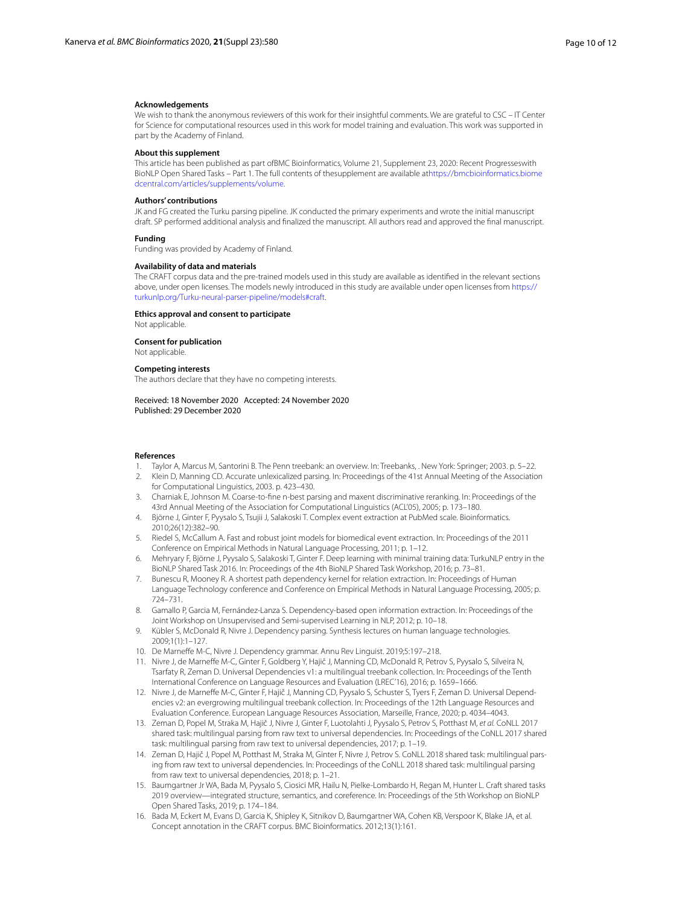#### **Acknowledgements**

We wish to thank the anonymous reviewers of this work for their insightful comments. We are grateful to CSC – IT Center for Science for computational resources used in this work for model training and evaluation. This work was supported in part by the Academy of Finland.

#### **About this supplement**

This article has been published as part ofBMC Bioinformatics, Volume 21, Supplement 23, 2020: Recent Progresseswith BioNLP Open Shared Tasks – Part 1. The full contents of thesupplement are available a[thttps://bmcbioinformatics.biome](https://bmcbioinformatics.biomedcentral.com/articles/supplements/volume) [dcentral.com/articles/supplements/volume.](https://bmcbioinformatics.biomedcentral.com/articles/supplements/volume)

#### **Authors' contributions**

JK and FG created the Turku parsing pipeline. JK conducted the primary experiments and wrote the initial manuscript draft. SP performed additional analysis and fnalized the manuscript. All authors read and approved the fnal manuscript.

#### **Funding**

Funding was provided by Academy of Finland.

#### **Availability of data and materials**

The CRAFT corpus data and the pre-trained models used in this study are available as identifed in the relevant sections above, under open licenses. The models newly introduced in this study are available under open licenses from [https://](https://turkunlp.org/Turku-neural-parser-pipeline/models#craft) [turkunlp.org/Turku-neural-parser-pipeline/models#craft.](https://turkunlp.org/Turku-neural-parser-pipeline/models#craft)

#### **Ethics approval and consent to participate**

Not applicable.

**Consent for publication**

# Not applicable.

**Competing interests**

The authors declare that they have no competing interests.

Received: 18 November 2020 Accepted: 24 November 2020 Published: 29 December 2020

#### **References**

- <span id="page-9-0"></span>1. Taylor A, Marcus M, Santorini B. The Penn treebank: an overview. In: Treebanks, . New York: Springer; 2003. p. 5–22.
- <span id="page-9-1"></span>2. Klein D, Manning CD. Accurate unlexicalized parsing. In: Proceedings of the 41st Annual Meeting of the Association for Computational Linguistics, 2003. p. 423–430.
- <span id="page-9-2"></span>3. Charniak E, Johnson M. Coarse-to-fne n-best parsing and maxent discriminative reranking. In: Proceedings of the 43rd Annual Meeting of the Association for Computational Linguistics (ACL'05), 2005; p. 173–180.
- <span id="page-9-3"></span>4. Björne J, Ginter F, Pyysalo S, Tsujii J, Salakoski T. Complex event extraction at PubMed scale. Bioinformatics. 2010;26(12):382–90.
- 5. Riedel S, McCallum A. Fast and robust joint models for biomedical event extraction. In: Proceedings of the 2011 Conference on Empirical Methods in Natural Language Processing, 2011; p. 1–12.
- <span id="page-9-4"></span>6. Mehryary F, Björne J, Pyysalo S, Salakoski T, Ginter F. Deep learning with minimal training data: TurkuNLP entry in the BioNLP Shared Task 2016. In: Proceedings of the 4th BioNLP Shared Task Workshop, 2016; p. 73–81.
- <span id="page-9-5"></span>7. Bunescu R, Mooney R. A shortest path dependency kernel for relation extraction. In: Proceedings of Human Language Technology conference and Conference on Empirical Methods in Natural Language Processing, 2005; p. 724–731.
- <span id="page-9-6"></span>8. Gamallo P, Garcia M, Fernández-Lanza S. Dependency-based open information extraction. In: Proceedings of the Joint Workshop on Unsupervised and Semi-supervised Learning in NLP, 2012; p. 10–18.
- <span id="page-9-7"></span>9. Kübler S, McDonald R, Nivre J. Dependency parsing. Synthesis lectures on human language technologies. 2009;1(1):1–127.
- <span id="page-9-8"></span>10. De Marnefe M-C, Nivre J. Dependency grammar. Annu Rev Linguist. 2019;5:197–218.
- <span id="page-9-9"></span>11. Nivre J, de Marnefe M-C, Ginter F, Goldberg Y, Hajič J, Manning CD, McDonald R, Petrov S, Pyysalo S, Silveira N, Tsarfaty R, Zeman D. Universal Dependencies v1: a multilingual treebank collection. In: Proceedings of the Tenth International Conference on Language Resources and Evaluation (LREC'16), 2016; p. 1659–1666.
- <span id="page-9-10"></span>12. Nivre J, de Marnefe M-C, Ginter F, Hajič J, Manning CD, Pyysalo S, Schuster S, Tyers F, Zeman D. Universal Dependencies v2: an evergrowing multilingual treebank collection. In: Proceedings of the 12th Language Resources and Evaluation Conference. European Language Resources Association, Marseille, France, 2020; p. 4034–4043.
- <span id="page-9-11"></span>13. Zeman D, Popel M, Straka M, Hajič J, Nivre J, Ginter F, Luotolahti J, Pyysalo S, Petrov S, Potthast M, *et al.* CoNLL 2017 shared task: multilingual parsing from raw text to universal dependencies. In: Proceedings of the CoNLL 2017 shared task: multilingual parsing from raw text to universal dependencies, 2017; p. 1–19.
- <span id="page-9-12"></span>14. Zeman D, Hajič J, Popel M, Potthast M, Straka M, Ginter F, Nivre J, Petrov S. CoNLL 2018 shared task: multilingual parsing from raw text to universal dependencies. In: Proceedings of the CoNLL 2018 shared task: multilingual parsing from raw text to universal dependencies, 2018; p. 1–21.
- <span id="page-9-13"></span>15. Baumgartner Jr WA, Bada M, Pyysalo S, Ciosici MR, Hailu N, Pielke-Lombardo H, Regan M, Hunter L. Craft shared tasks 2019 overview—integrated structure, semantics, and coreference. In: Proceedings of the 5th Workshop on BioNLP Open Shared Tasks, 2019; p. 174–184.
- <span id="page-9-14"></span>16. Bada M, Eckert M, Evans D, Garcia K, Shipley K, Sitnikov D, Baumgartner WA, Cohen KB, Verspoor K, Blake JA, et al. Concept annotation in the CRAFT corpus. BMC Bioinformatics. 2012;13(1):161.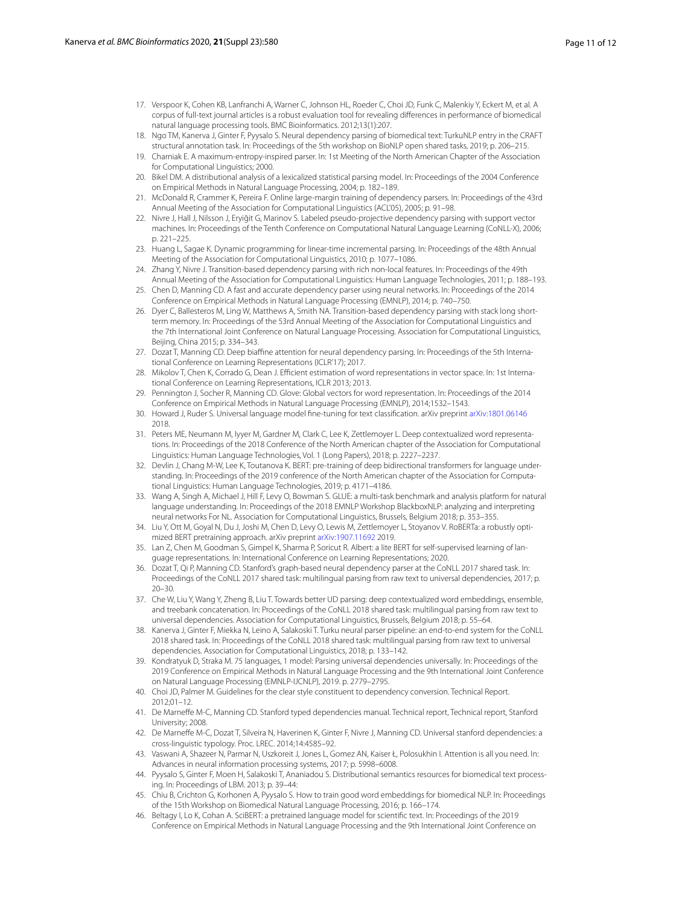- <span id="page-10-0"></span>17. Verspoor K, Cohen KB, Lanfranchi A, Warner C, Johnson HL, Roeder C, Choi JD, Funk C, Malenkiy Y, Eckert M, et al. A corpus of full-text journal articles is a robust evaluation tool for revealing diferences in performance of biomedical natural language processing tools. BMC Bioinformatics. 2012;13(1):207.
- <span id="page-10-1"></span>18. Ngo TM, Kanerva J, Ginter F, Pyysalo S. Neural dependency parsing of biomedical text: TurkuNLP entry in the CRAFT structural annotation task. In: Proceedings of the 5th workshop on BioNLP open shared tasks, 2019; p. 206–215.
- <span id="page-10-2"></span>19. Charniak E. A maximum-entropy-inspired parser. In: 1st Meeting of the North American Chapter of the Association for Computational Linguistics; 2000.
- <span id="page-10-3"></span>20. Bikel DM. A distributional analysis of a lexicalized statistical parsing model. In: Proceedings of the 2004 Conference on Empirical Methods in Natural Language Processing, 2004; p. 182–189.
- <span id="page-10-4"></span>21. McDonald R, Crammer K, Pereira F. Online large-margin training of dependency parsers. In: Proceedings of the 43rd Annual Meeting of the Association for Computational Linguistics (ACL'05), 2005; p. 91–98.
- 22. Nivre J, Hall J, Nilsson J, Eryiğit G, Marinov S. Labeled pseudo-projective dependency parsing with support vector machines. In: Proceedings of the Tenth Conference on Computational Natural Language Learning (CoNLL-X), 2006; p. 221–225.
- 23. Huang L, Sagae K. Dynamic programming for linear-time incremental parsing. In: Proceedings of the 48th Annual Meeting of the Association for Computational Linguistics, 2010; p. 1077–1086.
- <span id="page-10-5"></span>24. Zhang Y, Nivre J. Transition-based dependency parsing with rich non-local features. In: Proceedings of the 49th Annual Meeting of the Association for Computational Linguistics: Human Language Technologies, 2011; p. 188–193.
- <span id="page-10-6"></span>25. Chen D, Manning CD. A fast and accurate dependency parser using neural networks. In: Proceedings of the 2014 Conference on Empirical Methods in Natural Language Processing (EMNLP), 2014; p. 740–750.
- 26. Dyer C, Ballesteros M, Ling W, Matthews A, Smith NA. Transition-based dependency parsing with stack long shortterm memory. In: Proceedings of the 53rd Annual Meeting of the Association for Computational Linguistics and the 7th International Joint Conference on Natural Language Processing. Association for Computational Linguistics, Beijing, China 2015; p. 334–343.
- <span id="page-10-7"></span>27. Dozat T, Manning CD. Deep biafne attention for neural dependency parsing. In: Proceedings of the 5th International Conference on Learning Representations (ICLR'17); 2017.
- <span id="page-10-8"></span>28. Mikolov T, Chen K, Corrado G, Dean J. Efficient estimation of word representations in vector space. In: 1st International Conference on Learning Representations, ICLR 2013; 2013.
- <span id="page-10-9"></span>29. Pennington J, Socher R, Manning CD. Glove: Global vectors for word representation. In: Proceedings of the 2014 Conference on Empirical Methods in Natural Language Processing (EMNLP), 2014;1532–1543.
- <span id="page-10-10"></span>30. Howard J, Ruder S. Universal language model fne-tuning for text classifcation. arXiv preprint [arXiv:1801.06146](http://arxiv.org/abs/1801.06146) 2018.
- <span id="page-10-11"></span>31. Peters ME, Neumann M, Iyyer M, Gardner M, Clark C, Lee K, Zettlemoyer L. Deep contextualized word representations. In: Proceedings of the 2018 Conference of the North American chapter of the Association for Computational Linguistics: Human Language Technologies, Vol. 1 (Long Papers), 2018; p. 2227–2237.
- <span id="page-10-12"></span>32. Devlin J, Chang M-W, Lee K, Toutanova K. BERT: pre-training of deep bidirectional transformers for language understanding. In: Proceedings of the 2019 conference of the North American chapter of the Association for Computational Linguistics: Human Language Technologies, 2019; p. 4171–4186.
- <span id="page-10-13"></span>33. Wang A, Singh A, Michael J, Hill F, Levy O, Bowman S. GLUE: a multi-task benchmark and analysis platform for natural language understanding. In: Proceedings of the 2018 EMNLP Workshop BlackboxNLP: analyzing and interpreting neural networks For NL. Association for Computational Linguistics, Brussels, Belgium 2018; p. 353–355.
- <span id="page-10-14"></span>34. Liu Y, Ott M, Goyal N, Du J, Joshi M, Chen D, Levy O, Lewis M, Zettlemoyer L, Stoyanov V. RoBERTa: a robustly optimized BERT pretraining approach. arXiv preprint [arXiv:1907.11692](http://arxiv.org/abs/1907.11692) 2019.
- <span id="page-10-15"></span>35. Lan Z, Chen M, Goodman S, Gimpel K, Sharma P, Soricut R. Albert: a lite BERT for self-supervised learning of language representations. In: International Conference on Learning Representations; 2020.
- <span id="page-10-16"></span>36. Dozat T, Qi P, Manning CD. Stanford's graph-based neural dependency parser at the CoNLL 2017 shared task. In: Proceedings of the CoNLL 2017 shared task: multilingual parsing from raw text to universal dependencies, 2017; p. 20–30.
- <span id="page-10-17"></span>37. Che W, Liu Y, Wang Y, Zheng B, Liu T. Towards better UD parsing: deep contextualized word embeddings, ensemble, and treebank concatenation. In: Proceedings of the CoNLL 2018 shared task: multilingual parsing from raw text to universal dependencies. Association for Computational Linguistics, Brussels, Belgium 2018; p. 55–64.
- <span id="page-10-18"></span>38. Kanerva J, Ginter F, Miekka N, Leino A, Salakoski T. Turku neural parser pipeline: an end-to-end system for the CoNLL 2018 shared task. In: Proceedings of the CoNLL 2018 shared task: multilingual parsing from raw text to universal dependencies. Association for Computational Linguistics, 2018; p. 133–142.
- <span id="page-10-19"></span>39. Kondratyuk D, Straka M. 75 languages, 1 model: Parsing universal dependencies universally. In: Proceedings of the 2019 Conference on Empirical Methods in Natural Language Processing and the 9th International Joint Conference on Natural Language Processing (EMNLP-IJCNLP), 2019. p. 2779–2795.
- <span id="page-10-20"></span>40. Choi JD, Palmer M. Guidelines for the clear style constituent to dependency conversion. Technical Report. 2012;01–12.
- <span id="page-10-21"></span>41. De Marneffe M-C, Manning CD. Stanford typed dependencies manual. Technical report, Technical report, Stanford University; 2008.
- <span id="page-10-22"></span>42. De Marneffe M-C, Dozat T, Silveira N, Haverinen K, Ginter F, Nivre J, Manning CD. Universal stanford dependencies: a cross-linguistic typology. Proc. LREC. 2014;14:4585–92.
- <span id="page-10-23"></span>43. Vaswani A, Shazeer N, Parmar N, Uszkoreit J, Jones L, Gomez AN, Kaiser Ł, Polosukhin I. Attention is all you need. In: Advances in neural information processing systems, 2017; p. 5998–6008.
- <span id="page-10-24"></span>44. Pyysalo S, Ginter F, Moen H, Salakoski T, Ananiadou S. Distributional semantics resources for biomedical text processing. In: Proceedings of LBM. 2013; p. 39–44:
- <span id="page-10-25"></span>45. Chiu B, Crichton G, Korhonen A, Pyysalo S. How to train good word embeddings for biomedical NLP. In: Proceedings of the 15th Workshop on Biomedical Natural Language Processing, 2016; p. 166–174.
- <span id="page-10-26"></span>46. Beltagy I, Lo K, Cohan A. SciBERT: a pretrained language model for scientifc text. In: Proceedings of the 2019 Conference on Empirical Methods in Natural Language Processing and the 9th International Joint Conference on